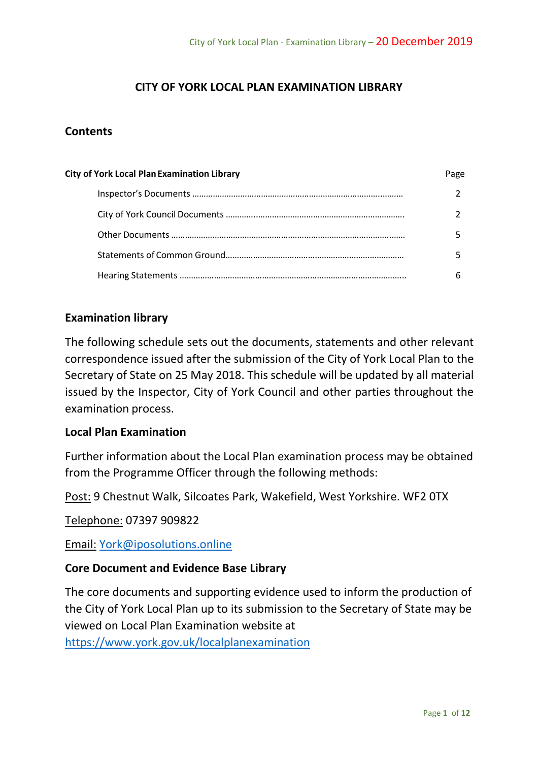# **CITY OF YORK LOCAL PLAN EXAMINATION LIBRARY**

## **Contents**

| <b>City of York Local Plan Examination Library</b> | Page |
|----------------------------------------------------|------|
|                                                    |      |
|                                                    |      |
|                                                    |      |
|                                                    |      |
|                                                    |      |

## **Examination library**

The following schedule sets out the documents, statements and other relevant correspondence issued after the submission of the City of York Local Plan to the Secretary of State on 25 May 2018. This schedule will be updated by all material issued by the Inspector, City of York Council and other parties throughout the examination process.

### **Local Plan Examination**

Further information about the Local Plan examination process may be obtained from the Programme Officer through the following methods:

Post: 9 Chestnut Walk, Silcoates Park, Wakefield, West Yorkshire. WF2 0TX

Telephone: 07397 909822

Email: [York@iposolutions.online](mailto:York@iposolutions.online)

### **Core Document and Evidence Base Library**

The core documents and supporting evidence used to inform the production of the City of York Local Plan up to its submission to the Secretary of State may be viewed on Local Plan Examination website at <https://www.york.gov.uk/localplanexamination>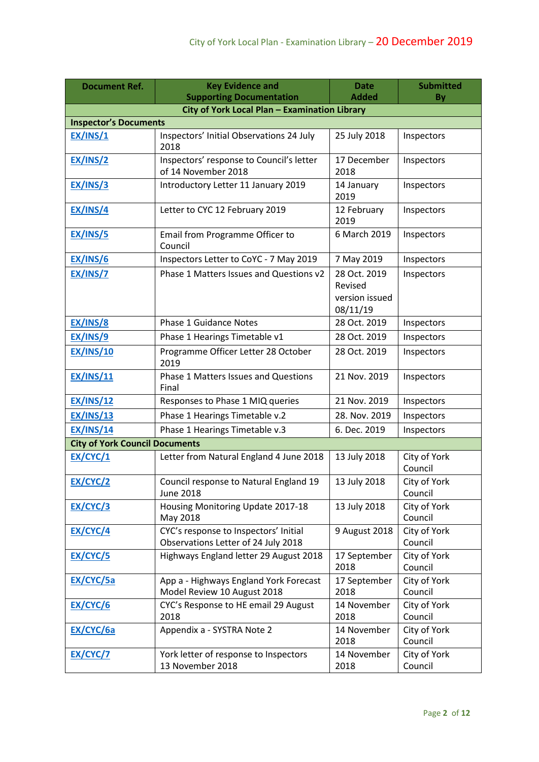| <b>Document Ref.</b>                  | <b>Key Evidence and</b>                                                          | <b>Date</b>                                           | <b>Submitted</b>        |
|---------------------------------------|----------------------------------------------------------------------------------|-------------------------------------------------------|-------------------------|
|                                       | <b>Supporting Documentation</b><br>City of York Local Plan - Examination Library | <b>Added</b>                                          | By                      |
| <b>Inspector's Documents</b>          |                                                                                  |                                                       |                         |
| EX/INS/1                              | Inspectors' Initial Observations 24 July                                         | 25 July 2018                                          | Inspectors              |
|                                       | 2018                                                                             |                                                       |                         |
| EX/INS/2                              | Inspectors' response to Council's letter<br>of 14 November 2018                  | 17 December<br>2018                                   | Inspectors              |
| EX/INS/3                              | Introductory Letter 11 January 2019                                              | 14 January<br>2019                                    | Inspectors              |
| EX/INS/4                              | Letter to CYC 12 February 2019                                                   | 12 February<br>2019                                   | Inspectors              |
| EX/INS/5                              | Email from Programme Officer to<br>Council                                       | 6 March 2019                                          | Inspectors              |
| EX/INS/6                              | Inspectors Letter to CoYC - 7 May 2019                                           | 7 May 2019                                            | Inspectors              |
| EX/INS/7                              | Phase 1 Matters Issues and Questions v2                                          | 28 Oct. 2019<br>Revised<br>version issued<br>08/11/19 | Inspectors              |
| EX/INS/8                              | <b>Phase 1 Guidance Notes</b>                                                    | 28 Oct. 2019                                          | Inspectors              |
| EX/INS/9                              | Phase 1 Hearings Timetable v1                                                    | 28 Oct. 2019                                          | Inspectors              |
| <b>EX/INS/10</b>                      | Programme Officer Letter 28 October<br>2019                                      | 28 Oct. 2019                                          | Inspectors              |
| <b>EX/INS/11</b>                      | Phase 1 Matters Issues and Questions<br>Final                                    | 21 Nov. 2019                                          | Inspectors              |
| <b>EX/INS/12</b>                      | Responses to Phase 1 MIQ queries                                                 | 21 Nov. 2019                                          | Inspectors              |
| <b>EX/INS/13</b>                      | Phase 1 Hearings Timetable v.2                                                   | 28. Nov. 2019                                         | Inspectors              |
| <b>EX/INS/14</b>                      | Phase 1 Hearings Timetable v.3                                                   | 6. Dec. 2019                                          | Inspectors              |
| <b>City of York Council Documents</b> |                                                                                  |                                                       |                         |
| EX/CYC/1                              | Letter from Natural England 4 June 2018                                          | 13 July 2018                                          | City of York<br>Council |
| EX/CYC/2                              | Council response to Natural England 19<br><b>June 2018</b>                       | 13 July 2018                                          | City of York<br>Council |
| <b>EX/CYC/3</b>                       | Housing Monitoring Update 2017-18<br>May 2018                                    | 13 July 2018                                          | City of York<br>Council |
| <b>EX/CYC/4</b>                       | CYC's response to Inspectors' Initial<br>Observations Letter of 24 July 2018     | 9 August 2018                                         | City of York<br>Council |
| <b>EX/CYC/5</b>                       | Highways England letter 29 August 2018                                           | 17 September<br>2018                                  | City of York<br>Council |
| EX/CYC/5a                             | App a - Highways England York Forecast<br>Model Review 10 August 2018            | 17 September<br>2018                                  | City of York<br>Council |
| <b>EX/CYC/6</b>                       | CYC's Response to HE email 29 August<br>2018                                     | 14 November<br>2018                                   | City of York<br>Council |
| <b>EX/CYC/6a</b>                      | Appendix a - SYSTRA Note 2                                                       | 14 November<br>2018                                   | City of York<br>Council |
| <b>EX/CYC/7</b>                       | York letter of response to Inspectors<br>13 November 2018                        | 14 November<br>2018                                   | City of York<br>Council |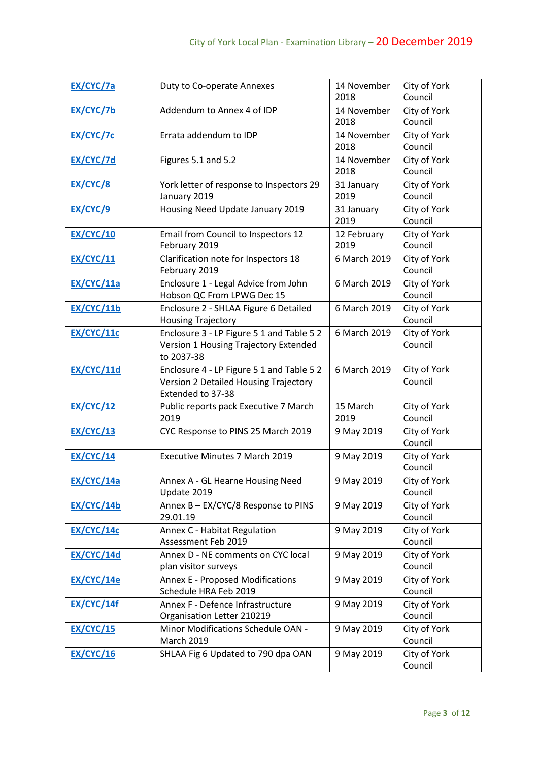| EX/CYC/7a         | Duty to Co-operate Annexes                                                                              | 14 November<br>2018 | City of York<br>Council |
|-------------------|---------------------------------------------------------------------------------------------------------|---------------------|-------------------------|
| EX/CYC/7b         | Addendum to Annex 4 of IDP                                                                              | 14 November<br>2018 | City of York<br>Council |
| EX/CYC/7c         | Errata addendum to IDP                                                                                  | 14 November<br>2018 | City of York<br>Council |
| EX/CYC/7d         | Figures 5.1 and 5.2                                                                                     | 14 November<br>2018 | City of York<br>Council |
| EX/CYC/8          | York letter of response to Inspectors 29<br>January 2019                                                | 31 January<br>2019  | City of York<br>Council |
| EX/CYC/9          | Housing Need Update January 2019                                                                        | 31 January<br>2019  | City of York<br>Council |
| <b>EX/CYC/10</b>  | Email from Council to Inspectors 12<br>February 2019                                                    | 12 February<br>2019 | City of York<br>Council |
| <b>EX/CYC/11</b>  | Clarification note for Inspectors 18<br>February 2019                                                   | 6 March 2019        | City of York<br>Council |
| <b>EX/CYC/11a</b> | Enclosure 1 - Legal Advice from John<br>Hobson QC From LPWG Dec 15                                      | 6 March 2019        | City of York<br>Council |
| <b>EX/CYC/11b</b> | Enclosure 2 - SHLAA Figure 6 Detailed<br><b>Housing Trajectory</b>                                      | 6 March 2019        | City of York<br>Council |
| EX/CYC/11c        | Enclosure 3 - LP Figure 5 1 and Table 5 2<br>Version 1 Housing Trajectory Extended<br>to 2037-38        | 6 March 2019        | City of York<br>Council |
| EX/CYC/11d        | Enclosure 4 - LP Figure 5 1 and Table 5 2<br>Version 2 Detailed Housing Trajectory<br>Extended to 37-38 | 6 March 2019        | City of York<br>Council |
| <b>EX/CYC/12</b>  | Public reports pack Executive 7 March<br>2019                                                           | 15 March<br>2019    | City of York<br>Council |
| <b>EX/CYC/13</b>  | CYC Response to PINS 25 March 2019                                                                      | 9 May 2019          | City of York<br>Council |
| <b>EX/CYC/14</b>  | <b>Executive Minutes 7 March 2019</b>                                                                   | 9 May 2019          | City of York<br>Council |
| EX/CYC/14a        | Annex A - GL Hearne Housing Need<br>Update 2019                                                         | 9 May 2019          | City of York<br>Council |
| EX/CYC/14b        | Annex B - EX/CYC/8 Response to PINS<br>29.01.19                                                         | 9 May 2019          | City of York<br>Council |
| EX/CYC/14c        | Annex C - Habitat Regulation<br>Assessment Feb 2019                                                     | 9 May 2019          | City of York<br>Council |
| <b>EX/CYC/14d</b> | Annex D - NE comments on CYC local<br>plan visitor surveys                                              | 9 May 2019          | City of York<br>Council |
| EX/CYC/14e        | <b>Annex E - Proposed Modifications</b><br>Schedule HRA Feb 2019                                        | 9 May 2019          | City of York<br>Council |
| <b>EX/CYC/14f</b> | Annex F - Defence Infrastructure<br>Organisation Letter 210219                                          | 9 May 2019          | City of York<br>Council |
| <b>EX/CYC/15</b>  | Minor Modifications Schedule OAN -<br><b>March 2019</b>                                                 | 9 May 2019          | City of York<br>Council |
| <b>EX/CYC/16</b>  | SHLAA Fig 6 Updated to 790 dpa OAN                                                                      | 9 May 2019          | City of York<br>Council |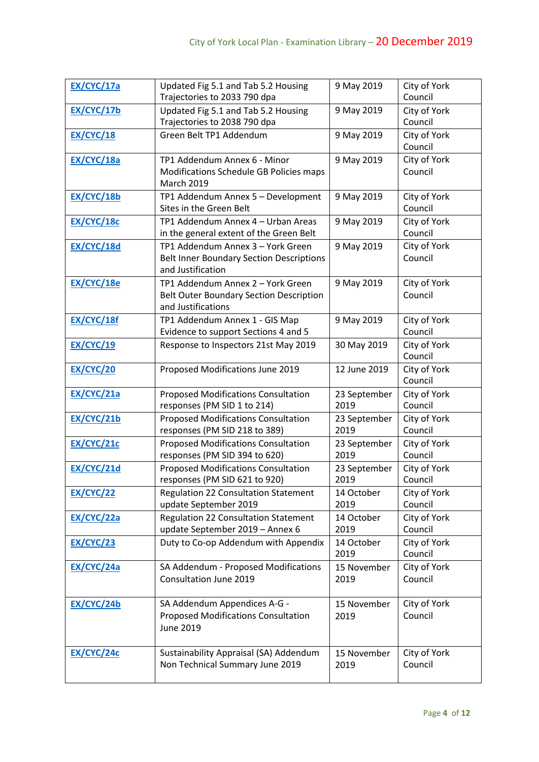| <b>EX/CYC/17a</b> | Updated Fig 5.1 and Tab 5.2 Housing<br>Trajectories to 2033 790 dpa                                       | 9 May 2019           | City of York<br>Council |
|-------------------|-----------------------------------------------------------------------------------------------------------|----------------------|-------------------------|
| EX/CYC/17b        | Updated Fig 5.1 and Tab 5.2 Housing<br>Trajectories to 2038 790 dpa                                       | 9 May 2019           | City of York<br>Council |
| <b>EX/CYC/18</b>  | Green Belt TP1 Addendum                                                                                   | 9 May 2019           | City of York<br>Council |
| <b>EX/CYC/18a</b> | TP1 Addendum Annex 6 - Minor<br>Modifications Schedule GB Policies maps<br><b>March 2019</b>              | 9 May 2019           | City of York<br>Council |
| EX/CYC/18b        | TP1 Addendum Annex 5 - Development<br>Sites in the Green Belt                                             | 9 May 2019           | City of York<br>Council |
| EX/CYC/18c        | TP1 Addendum Annex 4 - Urban Areas<br>in the general extent of the Green Belt                             | 9 May 2019           | City of York<br>Council |
| EX/CYC/18d        | TP1 Addendum Annex 3 - York Green<br><b>Belt Inner Boundary Section Descriptions</b><br>and Justification | 9 May 2019           | City of York<br>Council |
| EX/CYC/18e        | TP1 Addendum Annex 2 - York Green<br><b>Belt Outer Boundary Section Description</b><br>and Justifications | 9 May 2019           | City of York<br>Council |
| EX/CYC/18f        | TP1 Addendum Annex 1 - GIS Map<br>Evidence to support Sections 4 and 5                                    | 9 May 2019           | City of York<br>Council |
| <b>EX/CYC/19</b>  | Response to Inspectors 21st May 2019                                                                      | 30 May 2019          | City of York<br>Council |
| <b>EX/CYC/20</b>  | Proposed Modifications June 2019                                                                          | 12 June 2019         | City of York<br>Council |
| <b>EX/CYC/21a</b> | <b>Proposed Modifications Consultation</b><br>responses (PM SID 1 to 214)                                 | 23 September<br>2019 | City of York<br>Council |
| EX/CYC/21b        | <b>Proposed Modifications Consultation</b><br>responses (PM SID 218 to 389)                               | 23 September<br>2019 | City of York<br>Council |
| <b>EX/CYC/21c</b> | <b>Proposed Modifications Consultation</b><br>responses (PM SID 394 to 620)                               | 23 September<br>2019 | City of York<br>Council |
| EX/CYC/21d        | <b>Proposed Modifications Consultation</b><br>responses (PM SID 621 to 920)                               | 23 September<br>2019 | City of York<br>Council |
| <b>EX/CYC/22</b>  | Regulation 22 Consultation Statement<br>update September 2019                                             | 14 October<br>2019   | City of York<br>Council |
| <b>EX/CYC/22a</b> | <b>Regulation 22 Consultation Statement</b><br>update September 2019 - Annex 6                            | 14 October<br>2019   | City of York<br>Council |
| <b>EX/CYC/23</b>  | Duty to Co-op Addendum with Appendix                                                                      | 14 October<br>2019   | City of York<br>Council |
| <b>EX/CYC/24a</b> | SA Addendum - Proposed Modifications<br>Consultation June 2019                                            | 15 November<br>2019  | City of York<br>Council |
| EX/CYC/24b        | SA Addendum Appendices A-G -<br><b>Proposed Modifications Consultation</b><br>June 2019                   | 15 November<br>2019  | City of York<br>Council |
| <b>EX/CYC/24c</b> | Sustainability Appraisal (SA) Addendum<br>Non Technical Summary June 2019                                 | 15 November<br>2019  | City of York<br>Council |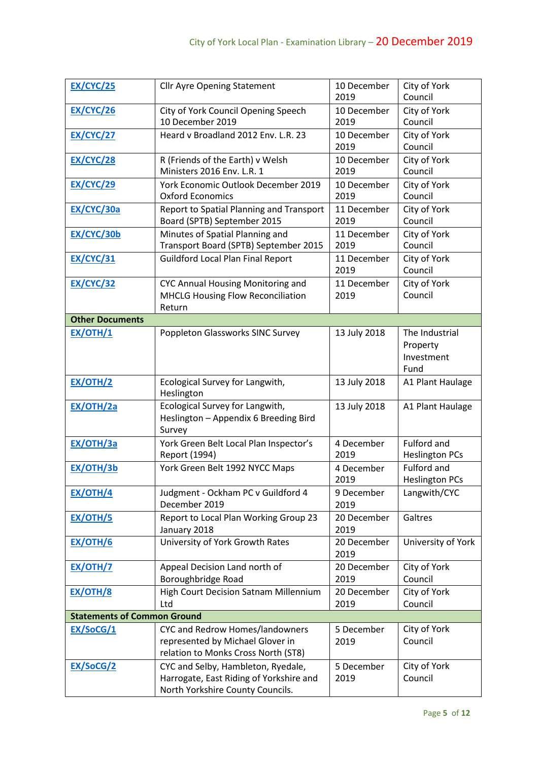| <b>EX/CYC/25</b>                   | <b>Cllr Ayre Opening Statement</b>                                                                                | 10 December<br>2019 | City of York<br>Council                          |
|------------------------------------|-------------------------------------------------------------------------------------------------------------------|---------------------|--------------------------------------------------|
| <b>EX/CYC/26</b>                   | City of York Council Opening Speech<br>10 December 2019                                                           | 10 December<br>2019 | City of York<br>Council                          |
| <b>EX/CYC/27</b>                   | Heard v Broadland 2012 Env. L.R. 23                                                                               | 10 December<br>2019 | City of York<br>Council                          |
| <b>EX/CYC/28</b>                   | R (Friends of the Earth) v Welsh<br>Ministers 2016 Env. L.R. 1                                                    | 10 December<br>2019 | City of York<br>Council                          |
| <b>EX/CYC/29</b>                   | York Economic Outlook December 2019<br><b>Oxford Economics</b>                                                    | 10 December<br>2019 | City of York<br>Council                          |
| <b>EX/CYC/30a</b>                  | Report to Spatial Planning and Transport<br>Board (SPTB) September 2015                                           | 11 December<br>2019 | City of York<br>Council                          |
| EX/CYC/30b                         | Minutes of Spatial Planning and<br>Transport Board (SPTB) September 2015                                          | 11 December<br>2019 | City of York<br>Council                          |
| <b>EX/CYC/31</b>                   | <b>Guildford Local Plan Final Report</b>                                                                          | 11 December<br>2019 | City of York<br>Council                          |
| <b>EX/CYC/32</b>                   | <b>CYC Annual Housing Monitoring and</b><br><b>MHCLG Housing Flow Reconciliation</b><br>Return                    | 11 December<br>2019 | City of York<br>Council                          |
| <b>Other Documents</b>             |                                                                                                                   |                     |                                                  |
| EX/OTH/1                           | Poppleton Glassworks SINC Survey                                                                                  | 13 July 2018        | The Industrial<br>Property<br>Investment<br>Fund |
| <b>EX/OTH/2</b>                    | Ecological Survey for Langwith,<br>Heslington                                                                     | 13 July 2018        | A1 Plant Haulage                                 |
| <b>EX/OTH/2a</b>                   | Ecological Survey for Langwith,<br>Heslington - Appendix 6 Breeding Bird<br>Survey                                | 13 July 2018        | A1 Plant Haulage                                 |
| <b>EX/OTH/3a</b>                   | York Green Belt Local Plan Inspector's<br>Report (1994)                                                           | 4 December<br>2019  | Fulford and<br><b>Heslington PCs</b>             |
| EX/OTH/3b                          | York Green Belt 1992 NYCC Maps                                                                                    | 4 December<br>2019  | <b>Fulford and</b><br><b>Heslington PCs</b>      |
| <b>EX/OTH/4</b>                    | Judgment - Ockham PC v Guildford 4<br>December 2019                                                               | 9 December<br>2019  | Langwith/CYC                                     |
| <b>EX/OTH/5</b>                    | Report to Local Plan Working Group 23<br>January 2018                                                             | 20 December<br>2019 | Galtres                                          |
| <b>EX/OTH/6</b>                    | University of York Growth Rates                                                                                   | 20 December<br>2019 | University of York                               |
| <b>EX/OTH/7</b>                    | Appeal Decision Land north of<br>Boroughbridge Road                                                               | 20 December<br>2019 | City of York<br>Council                          |
| <b>EX/OTH/8</b>                    | High Court Decision Satnam Millennium<br>Ltd                                                                      | 20 December<br>2019 | City of York<br>Council                          |
| <b>Statements of Common Ground</b> |                                                                                                                   |                     |                                                  |
| EX/SoCG/1                          | CYC and Redrow Homes/landowners<br>represented by Michael Glover in<br>relation to Monks Cross North (ST8)        | 5 December<br>2019  | City of York<br>Council                          |
| EX/SoCG/2                          | CYC and Selby, Hambleton, Ryedale,<br>Harrogate, East Riding of Yorkshire and<br>North Yorkshire County Councils. | 5 December<br>2019  | City of York<br>Council                          |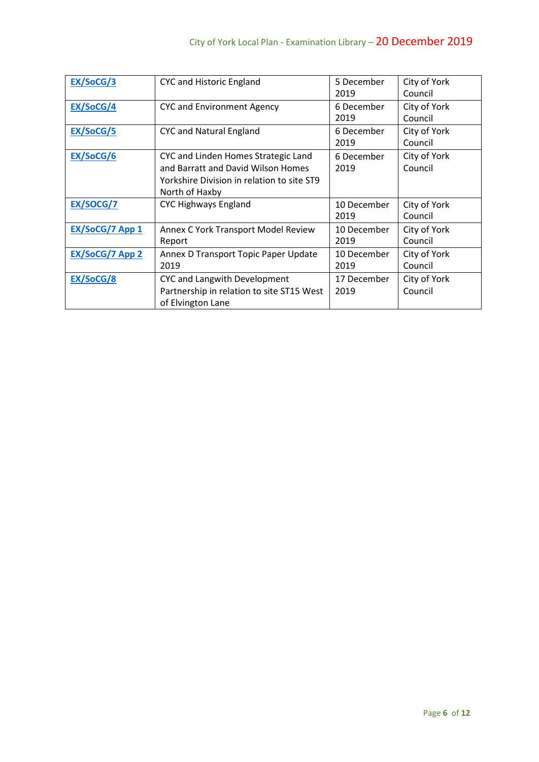| EX/SoCG/3       | <b>CYC and Historic England</b>                                                                                                           | 5 December<br>2019  | City of York<br>Council |
|-----------------|-------------------------------------------------------------------------------------------------------------------------------------------|---------------------|-------------------------|
| EX/SoCG/4       | <b>CYC and Environment Agency</b>                                                                                                         | 6 December<br>2019  | City of York<br>Council |
| EX/SoCG/5       | <b>CYC and Natural England</b>                                                                                                            | 6 December<br>2019  | City of York<br>Council |
| EX/SoCG/6       | CYC and Linden Homes Strategic Land<br>and Barratt and David Wilson Homes<br>Yorkshire Division in relation to site ST9<br>North of Haxby | 6 December<br>2019  | City of York<br>Council |
| EX/SOCG/7       | <b>CYC Highways England</b>                                                                                                               | 10 December<br>2019 | City of York<br>Council |
| EX/SoCG/7 App 1 | Annex C York Transport Model Review<br>Report                                                                                             | 10 December<br>2019 | City of York<br>Council |
| EX/SoCG/7 App 2 | Annex D Transport Topic Paper Update<br>2019                                                                                              | 10 December<br>2019 | City of York<br>Council |
| EX/SoCG/8       | CYC and Langwith Development<br>Partnership in relation to site ST15 West<br>of Elvington Lane                                            | 17 December<br>2019 | City of York<br>Council |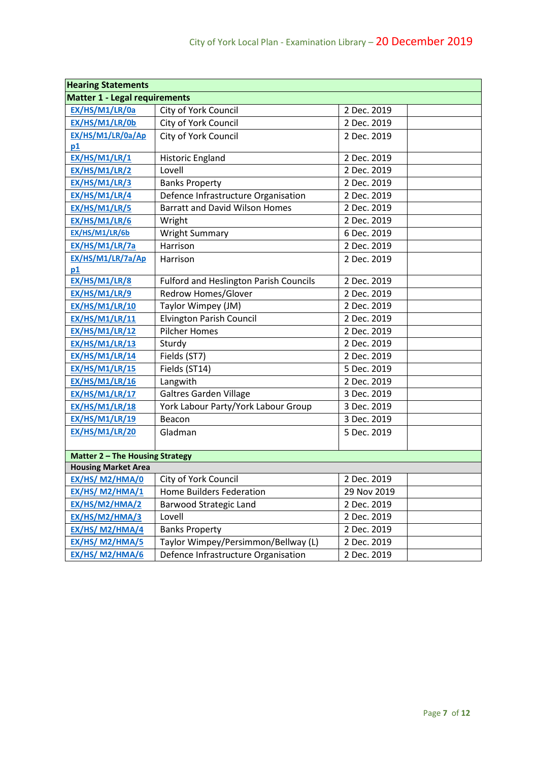| <b>Hearing Statements</b>            |                                               |             |  |
|--------------------------------------|-----------------------------------------------|-------------|--|
| <b>Matter 1 - Legal requirements</b> |                                               |             |  |
| EX/HS/M1/LR/0a                       | City of York Council                          | 2 Dec. 2019 |  |
| EX/HS/M1/LR/0b                       | City of York Council                          | 2 Dec. 2019 |  |
| EX/HS/M1/LR/0a/Ap                    | City of York Council                          | 2 Dec. 2019 |  |
| p1                                   |                                               |             |  |
| EX/HS/M1/LR/1                        | <b>Historic England</b>                       | 2 Dec. 2019 |  |
| EX/HS/M1/LR/2                        | Lovell                                        | 2 Dec. 2019 |  |
| <b>EX/HS/M1/LR/3</b>                 | <b>Banks Property</b>                         | 2 Dec. 2019 |  |
| EX/HS/M1/LR/4                        | Defence Infrastructure Organisation           | 2 Dec. 2019 |  |
| EX/HS/M1/LR/5                        | <b>Barratt and David Wilson Homes</b>         | 2 Dec. 2019 |  |
| EX/HS/M1/LR/6                        | Wright                                        | 2 Dec. 2019 |  |
| EX/HS/M1/LR/6b                       | <b>Wright Summary</b>                         | 6 Dec. 2019 |  |
| EX/HS/M1/LR/7a                       | Harrison                                      | 2 Dec. 2019 |  |
| EX/HS/M1/LR/7a/Ap                    | Harrison                                      | 2 Dec. 2019 |  |
| p1                                   |                                               |             |  |
| EX/HS/M1/LR/8                        | <b>Fulford and Heslington Parish Councils</b> | 2 Dec. 2019 |  |
| EX/HS/M1/LR/9                        | <b>Redrow Homes/Glover</b>                    | 2 Dec. 2019 |  |
| EX/HS/M1/LR/10                       | Taylor Wimpey (JM)                            | 2 Dec. 2019 |  |
| <b>EX/HS/M1/LR/11</b>                | <b>Elvington Parish Council</b>               | 2 Dec. 2019 |  |
| <b>EX/HS/M1/LR/12</b>                | <b>Pilcher Homes</b>                          | 2 Dec. 2019 |  |
| <b>EX/HS/M1/LR/13</b>                | Sturdy                                        | 2 Dec. 2019 |  |
| EX/HS/M1/LR/14                       | Fields (ST7)                                  | 2 Dec. 2019 |  |
| <b>EX/HS/M1/LR/15</b>                | Fields (ST14)                                 | 5 Dec. 2019 |  |
| EX/HS/M1/LR/16                       | Langwith                                      | 2 Dec. 2019 |  |
| EX/HS/M1/LR/17                       | <b>Galtres Garden Village</b>                 | 3 Dec. 2019 |  |
| <b>EX/HS/M1/LR/18</b>                | York Labour Party/York Labour Group           | 3 Dec. 2019 |  |
| <b>EX/HS/M1/LR/19</b>                | Beacon                                        | 3 Dec. 2019 |  |
| <b>EX/HS/M1/LR/20</b>                | Gladman                                       | 5 Dec. 2019 |  |
|                                      |                                               |             |  |
| Matter 2 - The Housing Strategy      |                                               |             |  |
| <b>Housing Market Area</b>           |                                               |             |  |
| EX/HS/ M2/HMA/0                      | City of York Council                          | 2 Dec. 2019 |  |
| EX/HS/ M2/HMA/1                      | <b>Home Builders Federation</b>               | 29 Nov 2019 |  |
| EX/HS/M2/HMA/2                       | <b>Barwood Strategic Land</b>                 | 2 Dec. 2019 |  |
| EX/HS/M2/HMA/3                       | Lovell                                        | 2 Dec. 2019 |  |
| EX/HS/ M2/HMA/4                      | <b>Banks Property</b>                         | 2 Dec. 2019 |  |
| EX/HS/ M2/HMA/5                      | Taylor Wimpey/Persimmon/Bellway (L)           | 2 Dec. 2019 |  |
| EX/HS/ M2/HMA/6                      | Defence Infrastructure Organisation           | 2 Dec. 2019 |  |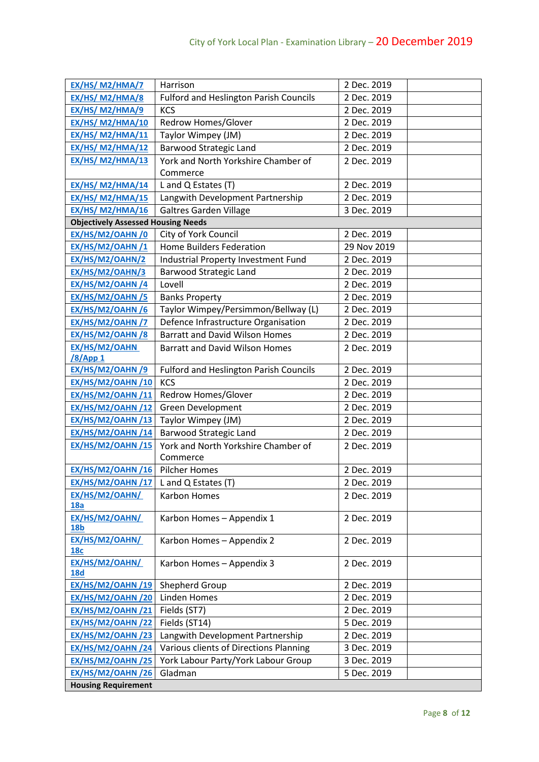| EX/HS/ M2/HMA/7                           | Harrison                                      | 2 Dec. 2019 |
|-------------------------------------------|-----------------------------------------------|-------------|
| EX/HS/ M2/HMA/8                           | <b>Fulford and Heslington Parish Councils</b> | 2 Dec. 2019 |
| EX/HS/ M2/HMA/9                           | <b>KCS</b>                                    | 2 Dec. 2019 |
| EX/HS/ M2/HMA/10                          | Redrow Homes/Glover                           | 2 Dec. 2019 |
| <b>EX/HS/ M2/HMA/11</b>                   | Taylor Wimpey (JM)                            | 2 Dec. 2019 |
| <b>EX/HS/ M2/HMA/12</b>                   | <b>Barwood Strategic Land</b>                 | 2 Dec. 2019 |
| <b>EX/HS/ M2/HMA/13</b>                   | York and North Yorkshire Chamber of           | 2 Dec. 2019 |
|                                           | Commerce                                      |             |
| <b>EX/HS/ M2/HMA/14</b>                   | L and Q Estates (T)                           | 2 Dec. 2019 |
| <b>EX/HS/ M2/HMA/15</b>                   | Langwith Development Partnership              | 2 Dec. 2019 |
| EX/HS/ M2/HMA/16                          | <b>Galtres Garden Village</b>                 | 3 Dec. 2019 |
| <b>Objectively Assessed Housing Needs</b> |                                               |             |
| EX/HS/M2/OAHN /0                          | City of York Council                          | 2 Dec. 2019 |
| EX/HS/M2/OAHN /1                          | <b>Home Builders Federation</b>               | 29 Nov 2019 |
| EX/HS/M2/OAHN/2                           | Industrial Property Investment Fund           | 2 Dec. 2019 |
| EX/HS/M2/OAHN/3                           | <b>Barwood Strategic Land</b>                 | 2 Dec. 2019 |
| EX/HS/M2/OAHN /4                          | Lovell                                        | 2 Dec. 2019 |
| EX/HS/M2/OAHN /5                          | <b>Banks Property</b>                         | 2 Dec. 2019 |
| EX/HS/M2/OAHN /6                          | Taylor Wimpey/Persimmon/Bellway (L)           | 2 Dec. 2019 |
| EX/HS/M2/OAHN /7                          | Defence Infrastructure Organisation           | 2 Dec. 2019 |
| EX/HS/M2/OAHN /8                          | <b>Barratt and David Wilson Homes</b>         | 2 Dec. 2019 |
| EX/HS/M2/OAHN                             | <b>Barratt and David Wilson Homes</b>         | 2 Dec. 2019 |
| <u>/8/App 1</u>                           |                                               |             |
| EX/HS/M2/OAHN /9                          | <b>Fulford and Heslington Parish Councils</b> | 2 Dec. 2019 |
| EX/HS/M2/OAHN /10                         | <b>KCS</b>                                    | 2 Dec. 2019 |
| EX/HS/M2/OAHN /11                         | Redrow Homes/Glover                           | 2 Dec. 2019 |
| EX/HS/M2/OAHN /12                         | Green Development                             | 2 Dec. 2019 |
| <b>EX/HS/M2/OAHN/13</b>                   | Taylor Wimpey (JM)                            | 2 Dec. 2019 |
| <b>EX/HS/M2/OAHN/14</b>                   | <b>Barwood Strategic Land</b>                 | 2 Dec. 2019 |
| EX/HS/M2/OAHN /15                         | York and North Yorkshire Chamber of           | 2 Dec. 2019 |
|                                           | Commerce                                      |             |
| EX/HS/M2/OAHN /16 Pilcher Homes           |                                               | 2 Dec. 2019 |
| EX/HS/M2/OAHN/17 L and Q Estates (T)      |                                               | 2 Dec. 2019 |
| EX/HS/M2/OAHN/<br>18a                     | Karbon Homes                                  | 2 Dec. 2019 |
| EX/HS/M2/OAHN/                            | Karbon Homes - Appendix 1                     | 2 Dec. 2019 |
| <b>18b</b>                                |                                               |             |
| EX/HS/M2/OAHN/                            | Karbon Homes - Appendix 2                     | 2 Dec. 2019 |
| <b>18c</b><br>EX/HS/M2/OAHN/              |                                               |             |
| <b>18d</b>                                | Karbon Homes - Appendix 3                     | 2 Dec. 2019 |
| <b>EX/HS/M2/OAHN/19</b>                   | Shepherd Group                                | 2 Dec. 2019 |
| EX/HS/M2/OAHN /20                         | Linden Homes                                  | 2 Dec. 2019 |
| EX/HS/M2/OAHN /21                         | Fields (ST7)                                  | 2 Dec. 2019 |
| EX/HS/M2/OAHN /22                         | Fields (ST14)                                 | 5 Dec. 2019 |
| EX/HS/M2/OAHN /23                         | Langwith Development Partnership              | 2 Dec. 2019 |
| EX/HS/M2/OAHN /24                         | Various clients of Directions Planning        | 3 Dec. 2019 |
| EX/HS/M2/OAHN /25                         | York Labour Party/York Labour Group           | 3 Dec. 2019 |
| EX/HS/M2/OAHN /26                         | Gladman                                       | 5 Dec. 2019 |
| <b>Housing Requirement</b>                |                                               |             |
|                                           |                                               |             |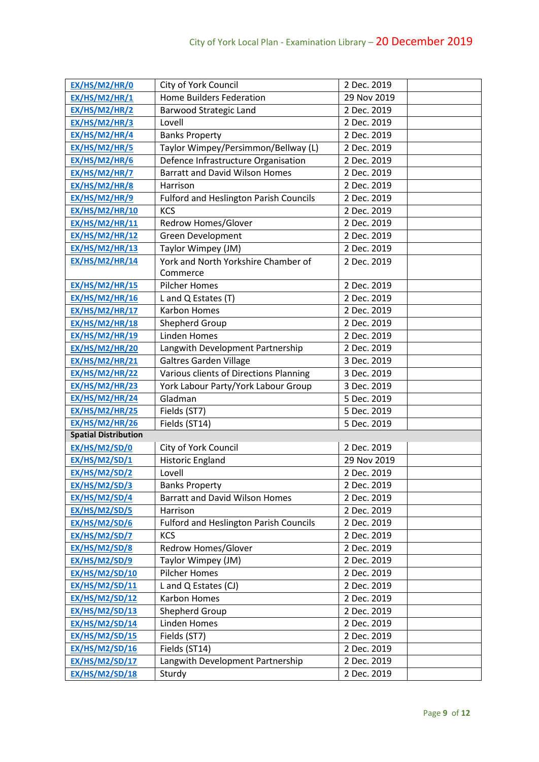| EX/HS/M2/HR/0               | City of York Council                          | 2 Dec. 2019 |
|-----------------------------|-----------------------------------------------|-------------|
| EX/HS/M2/HR/1               | <b>Home Builders Federation</b>               | 29 Nov 2019 |
| EX/HS/M2/HR/2               | <b>Barwood Strategic Land</b>                 | 2 Dec. 2019 |
| EX/HS/M2/HR/3               | Lovell                                        | 2 Dec. 2019 |
| EX/HS/M2/HR/4               | <b>Banks Property</b>                         | 2 Dec. 2019 |
| EX/HS/M2/HR/5               | Taylor Wimpey/Persimmon/Bellway (L)           | 2 Dec. 2019 |
| EX/HS/M2/HR/6               | Defence Infrastructure Organisation           | 2 Dec. 2019 |
| EX/HS/M2/HR/7               | <b>Barratt and David Wilson Homes</b>         | 2 Dec. 2019 |
| EX/HS/M2/HR/8               | Harrison                                      | 2 Dec. 2019 |
| EX/HS/M2/HR/9               | <b>Fulford and Heslington Parish Councils</b> | 2 Dec. 2019 |
| <b>EX/HS/M2/HR/10</b>       | <b>KCS</b>                                    | 2 Dec. 2019 |
| <b>EX/HS/M2/HR/11</b>       | Redrow Homes/Glover                           | 2 Dec. 2019 |
| <b>EX/HS/M2/HR/12</b>       | Green Development                             | 2 Dec. 2019 |
| <b>EX/HS/M2/HR/13</b>       | Taylor Wimpey (JM)                            | 2 Dec. 2019 |
| <b>EX/HS/M2/HR/14</b>       | York and North Yorkshire Chamber of           | 2 Dec. 2019 |
|                             | Commerce                                      |             |
| <b>EX/HS/M2/HR/15</b>       | <b>Pilcher Homes</b>                          | 2 Dec. 2019 |
| <b>EX/HS/M2/HR/16</b>       | L and Q Estates (T)                           | 2 Dec. 2019 |
| <b>EX/HS/M2/HR/17</b>       | <b>Karbon Homes</b>                           | 2 Dec. 2019 |
| <b>EX/HS/M2/HR/18</b>       | Shepherd Group                                | 2 Dec. 2019 |
| <b>EX/HS/M2/HR/19</b>       | <b>Linden Homes</b>                           | 2 Dec. 2019 |
| <b>EX/HS/M2/HR/20</b>       | Langwith Development Partnership              | 2 Dec. 2019 |
| <b>EX/HS/M2/HR/21</b>       | Galtres Garden Village                        | 3 Dec. 2019 |
| <b>EX/HS/M2/HR/22</b>       | Various clients of Directions Planning        | 3 Dec. 2019 |
| <b>EX/HS/M2/HR/23</b>       | York Labour Party/York Labour Group           | 3 Dec. 2019 |
| EX/HS/M2/HR/24              | Gladman                                       | 5 Dec. 2019 |
| <b>EX/HS/M2/HR/25</b>       | Fields (ST7)                                  | 5 Dec. 2019 |
| <b>EX/HS/M2/HR/26</b>       | Fields (ST14)                                 | 5 Dec. 2019 |
| <b>Spatial Distribution</b> |                                               |             |
| EX/HS/M2/SD/0               | City of York Council                          | 2 Dec. 2019 |
| EX/HS/M2/SD/1               | <b>Historic England</b>                       | 29 Nov 2019 |
| <b>EX/HS/M2/SD/2</b>        | Lovell                                        | 2 Dec. 2019 |
| <b>EX/HS/M2/SD/3</b>        | <b>Banks Property</b>                         | 2 Dec. 2019 |
| <b>EX/HS/M2/SD/4</b>        | <b>Barratt and David Wilson Homes</b>         | 2 Dec. 2019 |
| EX/HS/M2/SD/5               | Harrison                                      | 2 Dec. 2019 |
| EX/HS/M2/SD/6               | <b>Fulford and Heslington Parish Councils</b> | 2 Dec. 2019 |
| EX/HS/M2/SD/7               | <b>KCS</b>                                    | 2 Dec. 2019 |
| EX/HS/M2/SD/8               | Redrow Homes/Glover                           | 2 Dec. 2019 |
| EX/HS/M2/SD/9               | Taylor Wimpey (JM)                            | 2 Dec. 2019 |
| <b>EX/HS/M2/SD/10</b>       | Pilcher Homes                                 | 2 Dec. 2019 |
| <b>EX/HS/M2/SD/11</b>       | L and Q Estates (CJ)                          | 2 Dec. 2019 |
| <b>EX/HS/M2/SD/12</b>       | <b>Karbon Homes</b>                           | 2 Dec. 2019 |
| EX/HS/M2/SD/13              | Shepherd Group                                | 2 Dec. 2019 |
| <b>EX/HS/M2/SD/14</b>       | Linden Homes                                  | 2 Dec. 2019 |
| <b>EX/HS/M2/SD/15</b>       | Fields (ST7)                                  | 2 Dec. 2019 |
| <b>EX/HS/M2/SD/16</b>       | Fields (ST14)                                 | 2 Dec. 2019 |
| <b>EX/HS/M2/SD/17</b>       | Langwith Development Partnership              | 2 Dec. 2019 |
| <b>EX/HS/M2/SD/18</b>       | Sturdy                                        | 2 Dec. 2019 |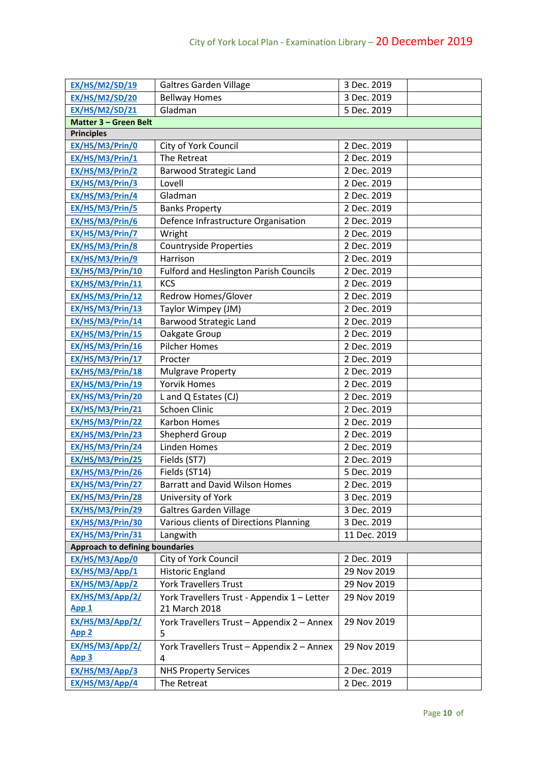| <b>EX/HS/M2/SD/19</b>           | <b>Galtres Garden Village</b>                 | 3 Dec. 2019  |
|---------------------------------|-----------------------------------------------|--------------|
| <b>EX/HS/M2/SD/20</b>           | <b>Bellway Homes</b>                          | 3 Dec. 2019  |
| <b>EX/HS/M2/SD/21</b>           | Gladman                                       | 5 Dec. 2019  |
| Matter 3 - Green Belt           |                                               |              |
| <b>Principles</b>               |                                               |              |
| EX/HS/M3/Prin/0                 | City of York Council                          | 2 Dec. 2019  |
| EX/HS/M3/Prin/1                 | The Retreat                                   | 2 Dec. 2019  |
| EX/HS/M3/Prin/2                 | <b>Barwood Strategic Land</b>                 | 2 Dec. 2019  |
| EX/HS/M3/Prin/3                 | Lovell                                        | 2 Dec. 2019  |
| EX/HS/M3/Prin/4                 | Gladman                                       | 2 Dec. 2019  |
| EX/HS/M3/Prin/5                 | <b>Banks Property</b>                         | 2 Dec. 2019  |
| EX/HS/M3/Prin/6                 | Defence Infrastructure Organisation           | 2 Dec. 2019  |
| EX/HS/M3/Prin/7                 | Wright                                        | 2 Dec. 2019  |
| EX/HS/M3/Prin/8                 | <b>Countryside Properties</b>                 | 2 Dec. 2019  |
| EX/HS/M3/Prin/9                 | Harrison                                      | 2 Dec. 2019  |
| EX/HS/M3/Prin/10                | <b>Fulford and Heslington Parish Councils</b> | 2 Dec. 2019  |
| EX/HS/M3/Prin/11                | <b>KCS</b>                                    | 2 Dec. 2019  |
| EX/HS/M3/Prin/12                | Redrow Homes/Glover                           | 2 Dec. 2019  |
| EX/HS/M3/Prin/13                | Taylor Wimpey (JM)                            | 2 Dec. 2019  |
| EX/HS/M3/Prin/14                | <b>Barwood Strategic Land</b>                 | 2 Dec. 2019  |
| EX/HS/M3/Prin/15                | Oakgate Group                                 | 2 Dec. 2019  |
| EX/HS/M3/Prin/16                | <b>Pilcher Homes</b>                          | 2 Dec. 2019  |
| EX/HS/M3/Prin/17                | Procter                                       | 2 Dec. 2019  |
| EX/HS/M3/Prin/18                | <b>Mulgrave Property</b>                      | 2 Dec. 2019  |
| EX/HS/M3/Prin/19                | <b>Yorvik Homes</b>                           | 2 Dec. 2019  |
| EX/HS/M3/Prin/20                | L and Q Estates (CJ)                          | 2 Dec. 2019  |
| EX/HS/M3/Prin/21                | <b>Schoen Clinic</b>                          | 2 Dec. 2019  |
| EX/HS/M3/Prin/22                | <b>Karbon Homes</b>                           | 2 Dec. 2019  |
| EX/HS/M3/Prin/23                | Shepherd Group                                | 2 Dec. 2019  |
| EX/HS/M3/Prin/24                | Linden Homes                                  | 2 Dec. 2019  |
| EX/HS/M3/Prin/25                | Fields (ST7)                                  | 2 Dec. 2019  |
| EX/HS/M3/Prin/26                | Fields (ST14)                                 | 5 Dec. 2019  |
| EX/HS/M3/Prin/27                | <b>Barratt and David Wilson Homes</b>         | 2 Dec. 2019  |
| EX/HS/M3/Prin/28                | University of York                            | 3 Dec. 2019  |
| EX/HS/M3/Prin/29                | <b>Galtres Garden Village</b>                 | 3 Dec. 2019  |
| EX/HS/M3/Prin/30                | Various clients of Directions Planning        | 3 Dec. 2019  |
| EX/HS/M3/Prin/31                | Langwith                                      | 11 Dec. 2019 |
| Approach to defining boundaries |                                               |              |
| EX/HS/M3/App/0                  | City of York Council                          | 2 Dec. 2019  |
| EX/HS/M3/App/1                  | Historic England                              | 29 Nov 2019  |
| EX/HS/M3/App/2                  | <b>York Travellers Trust</b>                  | 29 Nov 2019  |
| EX/HS/M3/App/2/                 | York Travellers Trust - Appendix 1 - Letter   | 29 Nov 2019  |
| App <sub>1</sub>                | 21 March 2018                                 |              |
| EX/HS/M3/App/2/                 | York Travellers Trust - Appendix 2 - Annex    | 29 Nov 2019  |
| App <sub>2</sub>                | 5                                             |              |
| EX/HS/M3/App/2/                 | York Travellers Trust - Appendix 2 - Annex    | 29 Nov 2019  |
| App 3                           | 4                                             |              |
| EX/HS/M3/App/3                  | <b>NHS Property Services</b>                  | 2 Dec. 2019  |
| EX/HS/M3/App/4                  | The Retreat                                   | 2 Dec. 2019  |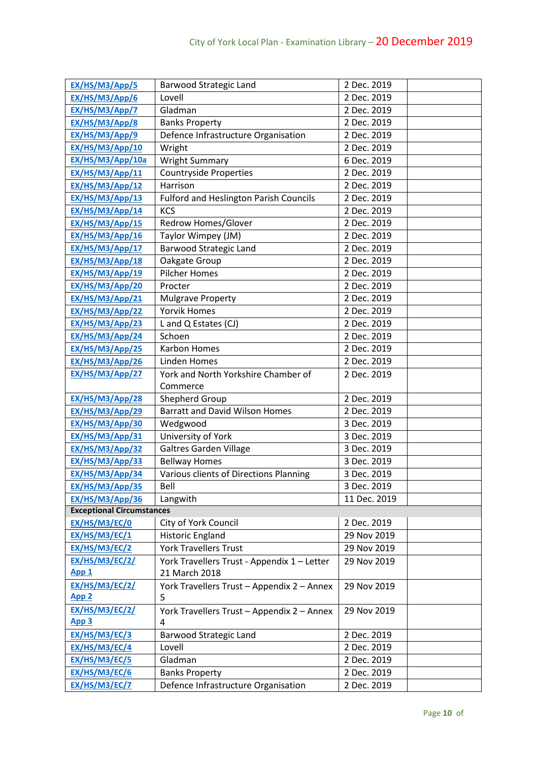| EX/HS/M3/App/5                     | Barwood Strategic Land                          | 2 Dec. 2019  |  |
|------------------------------------|-------------------------------------------------|--------------|--|
| EX/HS/M3/App/6                     | Lovell                                          | 2 Dec. 2019  |  |
| EX/HS/M3/App/7                     | Gladman                                         | 2 Dec. 2019  |  |
| EX/HS/M3/App/8                     | <b>Banks Property</b>                           | 2 Dec. 2019  |  |
| EX/HS/M3/App/9                     | Defence Infrastructure Organisation             | 2 Dec. 2019  |  |
| EX/HS/M3/App/10                    | Wright                                          | 2 Dec. 2019  |  |
| EX/HS/M3/App/10a                   | <b>Wright Summary</b>                           | 6 Dec. 2019  |  |
| EX/HS/M3/App/11                    | <b>Countryside Properties</b>                   | 2 Dec. 2019  |  |
| EX/HS/M3/App/12                    | Harrison                                        | 2 Dec. 2019  |  |
| EX/HS/M3/App/13                    | <b>Fulford and Heslington Parish Councils</b>   | 2 Dec. 2019  |  |
| EX/HS/M3/App/14                    | <b>KCS</b>                                      | 2 Dec. 2019  |  |
| EX/HS/M3/App/15                    | Redrow Homes/Glover                             | 2 Dec. 2019  |  |
| EX/HS/M3/App/16                    | Taylor Wimpey (JM)                              | 2 Dec. 2019  |  |
| EX/HS/M3/App/17                    | <b>Barwood Strategic Land</b>                   | 2 Dec. 2019  |  |
| EX/HS/M3/App/18                    | Oakgate Group                                   | 2 Dec. 2019  |  |
| EX/HS/M3/App/19                    | <b>Pilcher Homes</b>                            | 2 Dec. 2019  |  |
| EX/HS/M3/App/20                    | Procter                                         | 2 Dec. 2019  |  |
| EX/HS/M3/App/21                    | <b>Mulgrave Property</b>                        | 2 Dec. 2019  |  |
| EX/HS/M3/App/22                    | <b>Yorvik Homes</b>                             | 2 Dec. 2019  |  |
| EX/HS/M3/App/23                    | L and Q Estates (CJ)                            | 2 Dec. 2019  |  |
| EX/HS/M3/App/24                    | Schoen                                          | 2 Dec. 2019  |  |
| EX/HS/M3/App/25                    | Karbon Homes                                    | 2 Dec. 2019  |  |
| EX/HS/M3/App/26                    | Linden Homes                                    | 2 Dec. 2019  |  |
| EX/HS/M3/App/27                    | York and North Yorkshire Chamber of<br>Commerce | 2 Dec. 2019  |  |
| EX/HS/M3/App/28                    | Shepherd Group                                  | 2 Dec. 2019  |  |
| EX/HS/M3/App/29                    | <b>Barratt and David Wilson Homes</b>           | 2 Dec. 2019  |  |
| EX/HS/M3/App/30                    | Wedgwood                                        | 3 Dec. 2019  |  |
| EX/HS/M3/App/31                    | University of York                              | 3 Dec. 2019  |  |
| EX/HS/M3/App/32                    | <b>Galtres Garden Village</b>                   | 3 Dec. 2019  |  |
| EX/HS/M3/App/33                    | <b>Bellway Homes</b>                            | 3 Dec. 2019  |  |
| EX/HS/M3/App/34                    | Various clients of Directions Planning          | 3 Dec. 2019  |  |
| EX/HS/M3/App/35                    | Bell                                            | 3 Dec. 2019  |  |
| EX/HS/M3/App/36                    | Langwith                                        | 11 Dec. 2019 |  |
| <b>Exceptional Circumstances</b>   |                                                 |              |  |
| EX/HS/M3/EC/0                      | City of York Council                            | 2 Dec. 2019  |  |
| EX/HS/M3/EC/1                      | <b>Historic England</b>                         | 29 Nov 2019  |  |
| EX/HS/M3/EC/2                      | <b>York Travellers Trust</b>                    | 29 Nov 2019  |  |
| EX/HS/M3/EC/2/                     | York Travellers Trust - Appendix 1 - Letter     | 29 Nov 2019  |  |
| App <sub>1</sub>                   | 21 March 2018                                   |              |  |
| EX/HS/M3/EC/2/<br>App <sub>2</sub> | York Travellers Trust - Appendix 2 - Annex<br>5 | 29 Nov 2019  |  |
| EX/HS/M3/EC/2/                     | York Travellers Trust - Appendix 2 - Annex      | 29 Nov 2019  |  |
| App 3                              | 4                                               |              |  |
| EX/HS/M3/EC/3                      | <b>Barwood Strategic Land</b>                   | 2 Dec. 2019  |  |
| EX/HS/M3/EC/4                      | Lovell                                          | 2 Dec. 2019  |  |
| EX/HS/M3/EC/5                      | Gladman                                         | 2 Dec. 2019  |  |
| EX/HS/M3/EC/6                      | <b>Banks Property</b>                           | 2 Dec. 2019  |  |
| EX/HS/M3/EC/7                      | Defence Infrastructure Organisation             | 2 Dec. 2019  |  |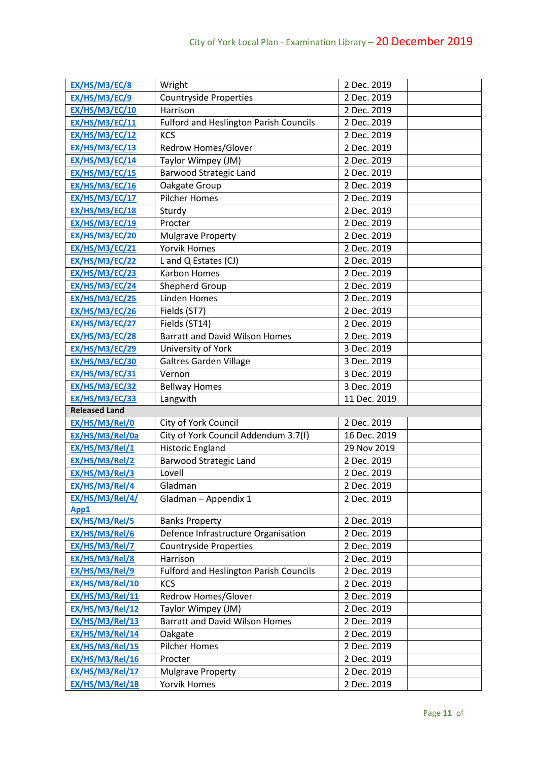| EX/HS/M3/EC/8         | Wright                                        | 2 Dec. 2019  |
|-----------------------|-----------------------------------------------|--------------|
| EX/HS/M3/EC/9         | <b>Countryside Properties</b>                 | 2 Dec. 2019  |
| EX/HS/M3/EC/10        | Harrison                                      | 2 Dec. 2019  |
| EX/HS/M3/EC/11        | <b>Fulford and Heslington Parish Councils</b> | 2 Dec. 2019  |
| EX/HS/M3/EC/12        | <b>KCS</b>                                    | 2 Dec. 2019  |
| EX/HS/M3/EC/13        | Redrow Homes/Glover                           | 2 Dec. 2019  |
| EX/HS/M3/EC/14        | Taylor Wimpey (JM)                            | 2 Dec. 2019  |
| EX/HS/M3/EC/15        | <b>Barwood Strategic Land</b>                 | 2 Dec. 2019  |
| EX/HS/M3/EC/16        | Oakgate Group                                 | 2 Dec. 2019  |
| EX/HS/M3/EC/17        | <b>Pilcher Homes</b>                          | 2 Dec. 2019  |
| EX/HS/M3/EC/18        | Sturdy                                        | 2 Dec. 2019  |
| EX/HS/M3/EC/19        | Procter                                       | 2 Dec. 2019  |
| EX/HS/M3/EC/20        | <b>Mulgrave Property</b>                      | 2 Dec. 2019  |
| <b>EX/HS/M3/EC/21</b> | <b>Yorvik Homes</b>                           | 2 Dec. 2019  |
| EX/HS/M3/EC/22        | L and Q Estates (CJ)                          | 2 Dec. 2019  |
| EX/HS/M3/EC/23        | <b>Karbon Homes</b>                           | 2 Dec. 2019  |
| EX/HS/M3/EC/24        | Shepherd Group                                | 2 Dec. 2019  |
| EX/HS/M3/EC/25        | <b>Linden Homes</b>                           | 2 Dec. 2019  |
| EX/HS/M3/EC/26        | Fields (ST7)                                  | 2 Dec. 2019  |
| EX/HS/M3/EC/27        | Fields (ST14)                                 | 2 Dec. 2019  |
| EX/HS/M3/EC/28        | <b>Barratt and David Wilson Homes</b>         | 2 Dec. 2019  |
| EX/HS/M3/EC/29        | University of York                            | 3 Dec. 2019  |
| EX/HS/M3/EC/30        | <b>Galtres Garden Village</b>                 | 3 Dec. 2019  |
| EX/HS/M3/EC/31        | Vernon                                        | 3 Dec. 2019  |
| EX/HS/M3/EC/32        | <b>Bellway Homes</b>                          | 3 Dec. 2019  |
| <b>EX/HS/M3/EC/33</b> | Langwith                                      | 11 Dec. 2019 |
| <b>Released Land</b>  |                                               |              |
| EX/HS/M3/Rel/0        | City of York Council                          | 2 Dec. 2019  |
| EX/HS/M3/Rel/0a       | City of York Council Addendum 3.7(f)          | 16 Dec. 2019 |
| EX/HS/M3/Rel/1        | <b>Historic England</b>                       | 29 Nov 2019  |
| EX/HS/M3/Rel/2        | Barwood Strategic Land                        | 2 Dec. 2019  |
| EX/HS/M3/Rel/3        | Lovell                                        | 2 Dec. 2019  |
| EX/HS/M3/Rel/4        | Gladman                                       | 2 Dec. 2019  |
| EX/HS/M3/Rel/4/       | Gladman - Appendix 1                          | 2 Dec. 2019  |
| App1                  |                                               |              |
| EX/HS/M3/Rel/5        | <b>Banks Property</b>                         | 2 Dec. 2019  |
| EX/HS/M3/Rel/6        | Defence Infrastructure Organisation           | 2 Dec. 2019  |
| EX/HS/M3/Rel/7        | <b>Countryside Properties</b>                 | 2 Dec. 2019  |
| EX/HS/M3/Rel/8        | Harrison                                      | 2 Dec. 2019  |
| EX/HS/M3/Rel/9        | <b>Fulford and Heslington Parish Councils</b> | 2 Dec. 2019  |
| EX/HS/M3/Rel/10       | <b>KCS</b>                                    | 2 Dec. 2019  |
| EX/HS/M3/Rel/11       | Redrow Homes/Glover                           | 2 Dec. 2019  |
| EX/HS/M3/Rel/12       | Taylor Wimpey (JM)                            | 2 Dec. 2019  |
| EX/HS/M3/Rel/13       | <b>Barratt and David Wilson Homes</b>         | 2 Dec. 2019  |
| EX/HS/M3/Rel/14       | Oakgate                                       | 2 Dec. 2019  |
| EX/HS/M3/Rel/15       | <b>Pilcher Homes</b>                          | 2 Dec. 2019  |
| EX/HS/M3/Rel/16       | Procter                                       | 2 Dec. 2019  |
| EX/HS/M3/Rel/17       | <b>Mulgrave Property</b>                      | 2 Dec. 2019  |
| EX/HS/M3/Rel/18       | <b>Yorvik Homes</b>                           | 2 Dec. 2019  |